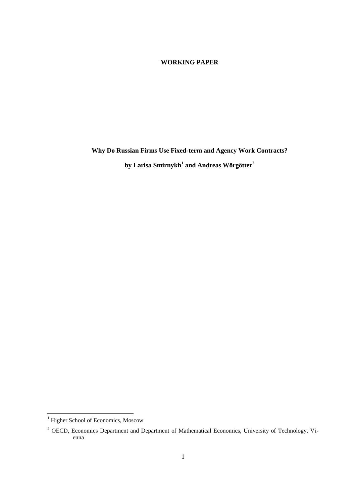## **WORKING PAPER**

**Why Do Russian Firms Use Fixed-term and Agency Work Contracts? by Larisa Smirnykh<sup>1</sup> and Andreas Wörgötter<sup>2</sup>**

l

<sup>&</sup>lt;sup>1</sup> Higher School of Economics, Moscow

<sup>&</sup>lt;sup>2</sup> OECD, Economics Department and Department of Mathematical Economics, University of Technology, Vienna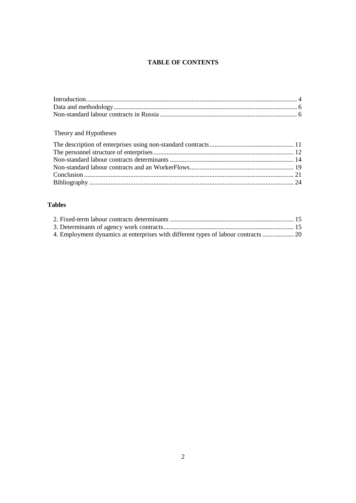# **TABLE OF CONTENTS**

# Theory and Hypotheses

## **Tables**

| 4. Employment dynamics at enterprises with different types of labour contracts  20 |  |
|------------------------------------------------------------------------------------|--|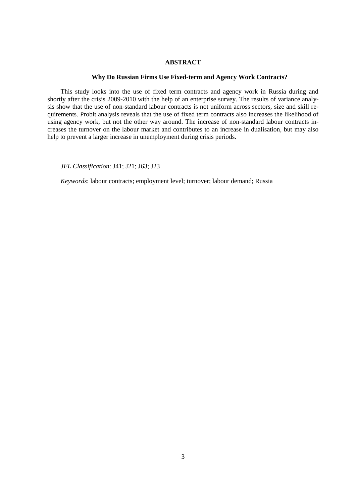## **ABSTRACT**

### **Why Do Russian Firms Use Fixed-term and Agency Work Contracts?**

This study looks into the use of fixed term contracts and agency work in Russia during and shortly after the crisis 2009-2010 with the help of an enterprise survey. The results of variance analysis show that the use of non-standard labour contracts is not uniform across sectors, size and skill requirements. Probit analysis reveals that the use of fixed term contracts also increases the likelihood of using agency work, but not the other way around. The increase of non-standard labour contracts increases the turnover on the labour market and contributes to an increase in dualisation, but may also help to prevent a larger increase in unemployment during crisis periods.

*JEL Classification*: J41; J21; J63; J23

*Keywords*: labour contracts; employment level; turnover; labour demand; Russia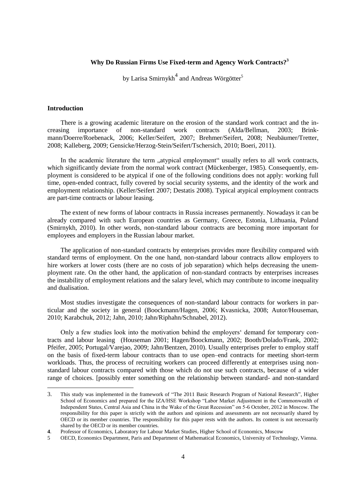## **Why Do Russian Firms Use Fixed-term and Agency Work Contracts?<sup>3</sup>**

by Larisa Smirnykh<sup>4</sup> and Andreas Wörgötter<sup>5</sup>

## <span id="page-3-0"></span>**Introduction**

l

There is a growing academic literature on the erosion of the standard work contract and the increasing importance of non-standard work contracts (Alda/Bellman, 2003; Brinkmann/Doerre/Roebenack, 2006; Keller/Seifert, 2007; Brehmer/Seifert, 2008; Neubäumer/Tretter, 2008; Kalleberg, 2009; Gensicke/Herzog-Stein/Seifert/Tschersich, 2010; Boeri, 2011).

In the academic literature the term "atypical employment" usually refers to all work contracts, which significantly deviate from the normal work contract (Mückenberger, 1985). Consequently, employment is considered to be atypical if one of the following conditions does not apply: working full time, open-ended contract, fully covered by social security systems, and the identity of the work and employment relationship. (Keller/Seifert 2007; Destatis 2008). Typical atypical employment contracts are part-time contracts or labour leasing.

The extent of new forms of labour contracts in Russia increases permanently. Nowadays it can be already compared with such European countries as Germany, Greece, Estonia, Lithuania, Poland (Smirnykh, 2010). In other words, non-standard labour contracts are becoming more important for employees and employers in the Russian labour market.

The application of non-standard contracts by enterprises provides more flexibility compared with standard terms of employment. On the one hand, non-standard labour contracts allow employers to hire workers at lower costs (there are no costs of job separation) which helps decreasing the unemployment rate. On the other hand, the application of non-standard contracts by enterprises increases the instability of employment relations and the salary level, which may contribute to income inequality and dualisation.

Most studies investigate the consequences of non-standard labour contracts for workers in particular and the society in general (Boockmann/Hagen, 2006; Kvasnicka, 2008; Autor/Houseman, 2010; Karabchuk, 2012; Jahn, 2010; Jahn/Riphahn/Schnabel, 2012).

Only a few studies look into the motivation behind the employers" demand for temporary contracts and labour leasing (Houseman 2001; Hagen/Boockmann, 2002; Booth/Dolado/Frank, 2002; Pfeifer, 2005; Portugal/Varejao, 2009; Jahn/Bentzen, 2010). Usually enterprises prefer to employ staff on the basis of fixed-term labour contracts than to use open–end contracts for meeting short-term workloads. Thus, the process of recruiting workers can proceed differently at enterprises using nonstandard labour contracts compared with those which do not use such contracts, because of a wider range of choices. [possibly enter something on the relationship between standard- and non-standard

<sup>3.</sup> This study was implemented in the framework of "The 2011 Basic Research Program of National Research", Higher School of Economics and prepared for the IZA/HSE Workshop "Labor Market Adjustment in the Commonwealth of Independent States, Central Asia and China in the Wake of the Great Recession" on 5-6 October, 2012 in Moscow. The responsibility for this paper is strictly with the authors and opinions and assessments are not necessarily shared by OECD or its member countries. The responsibility for this paper rests with the authors. Its content is not necessarily shared by the OECD or its member countries.

**<sup>4</sup>**. Professor of Economics, [Laboratory for Labour Market Studies,](http://lirt.hse.ru/en/) Higher School of Economics, Moscow

<sup>5</sup> OECD, Economics Department, Paris and Department of Mathematical Economics, University of Technology, Vienna.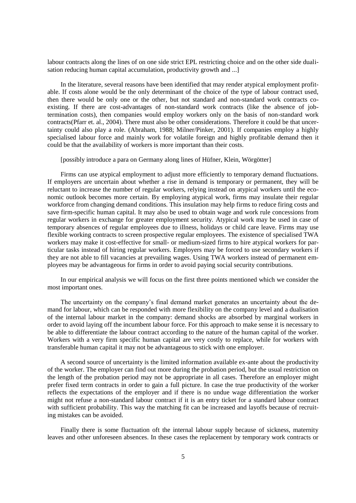labour contracts along the lines of on one side strict EPL restricting choice and on the other side dualisation reducing human capital accumulation, productivity growth and ...]

In the literature, several reasons have been identified that may render atypical employment profitable. If costs alone would be the only determinant of the choice of the type of labour contract used, then there would be only one or the other, but not standard and non-standard work contracts coexisting. If there are cost-advantages of non-standard work contracts (like the absence of jobtermination costs), then companies would employ workers only on the basis of non-standard work contracts(Pfarr et. al., 2004). There must also be other considerations. Therefore it could be that uncertainty could also play a role. (Abraham, 1988; Milner/Pinker, 2001). If companies employ a highly specialised labour force and mainly work for volatile foreign and highly profitable demand then it could be that the availability of workers is more important than their costs.

[possibly introduce a para on Germany along lines of Hüfner, Klein, Wörgötter]

Firms can use atypical employment to adjust more efficiently to temporary demand fluctuations. If employers are uncertain about whether a rise in demand is temporary or permanent, they will be reluctant to increase the number of regular workers, relying instead on atypical workers until the economic outlook becomes more certain. By employing atypical work, firms may insulate their regular workforce from changing demand conditions. This insulation may help firms to reduce firing costs and save firm-specific human capital. It may also be used to obtain wage and work rule concessions from regular workers in exchange for greater employment security. Atypical work may be used in case of temporary absences of regular employees due to illness, holidays or child care leave. Firms may use flexible working contracts to screen prospective regular employees. The existence of specialised TWA workers may make it cost-effective for small- or medium-sized firms to hire atypical workers for particular tasks instead of hiring regular workers. Employers may be forced to use secondary workers if they are not able to fill vacancies at prevailing wages. Using TWA workers instead of permanent employees may be advantageous for firms in order to avoid paying social security contributions.

In our empirical analysis we will focus on the first three points mentioned which we consider the most important ones.

The uncertainty on the company's final demand market generates an uncertainty about the demand for labour, which can be responded with more flexibility on the company level and a dualisation of the internal labour market in the company: demand shocks are absorbed by marginal workers in order to avoid laying off the incumbent labour force. For this approach to make sense it is necessary to be able to differentiate the labour contract according to the nature of the human capital of the worker. Workers with a very firm specific human capital are very costly to replace, while for workers with transferable human capital it may not be advantageous to stick with one employer.

A second source of uncertainty is the limited information available ex-ante about the productivity of the worker. The employer can find out more during the probation period, but the usual restriction on the length of the probation period may not be appropriate in all cases. Therefore an employer might prefer fixed term contracts in order to gain a full picture. In case the true productivity of the worker reflects the expectations of the employer and if there is no undue wage differentiation the worker might not refuse a non-standard labour contract if it is an entry ticket for a standard labour contract with sufficient probability. This way the matching fit can be increased and layoffs because of recruiting mistakes can be avoided.

Finally there is some fluctuation oft the internal labour supply because of sickness, maternity leaves and other unforeseen absences. In these cases the replacement by temporary work contracts or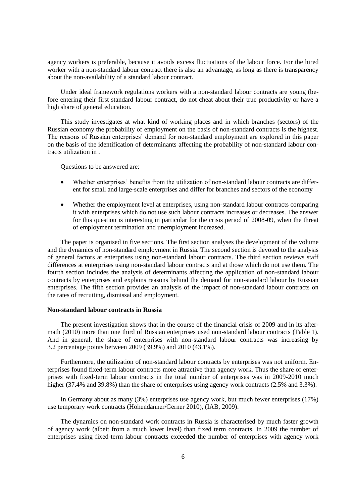agency workers is preferable, because it avoids excess fluctuations of the labour force. For the hired worker with a non-standard labour contract there is also an advantage, as long as there is transparency about the non-availability of a standard labour contract.

Under ideal framework regulations workers with a non-standard labour contracts are young (before entering their first standard labour contract, do not cheat about their true productivity or have a high share of general education.

This study investigates at what kind of working places and in which branches (sectors) of the Russian economy the probability of employment on the basis of non-standard contracts is the highest. The reasons of Russian enterprises' demand for non-standard employment are explored in this paper on the basis of the identification of determinants affecting the probability of non-standard labour contracts utilization in .

Questions to be answered are:

- Whether enterprises" benefits from the utilization of non-standard labour contracts are different for small and large-scale enterprises and differ for branches and sectors of the economy
- Whether the employment level at enterprises, using non-standard labour contracts comparing it with enterprises which do not use such labour contracts increases or decreases. The answer for this question is interesting in particular for the crisis period of 2008-09, when the threat of employment termination and unemployment increased.

The paper is organised in five sections. The first section analyses the development of the volume and the dynamics of non-standard employment in Russia. The second section is devoted to the analysis of general factors at enterprises using non-standard labour contracts. The third section reviews staff differences at enterprises using non-standard labour contracts and at those which do not use them. The fourth section includes the analysis of determinants affecting the application of non-standard labour contracts by enterprises and explains reasons behind the demand for non-standard labour by Russian enterprises. The fifth section provides an analysis of the impact of non-standard labour contracts on the rates of recruiting, dismissal and employment.

#### <span id="page-5-0"></span>**Non-standard labour contracts in Russia**

The present investigation shows that in the course of the financial crisis of 2009 and in its aftermath (2010) more than one third of Russian enterprises used non-standard labour contracts (Table 1). And in general, the share of enterprises with non-standard labour contracts was increasing by 3.2 percentage points between 2009 (39.9%) and 2010 (43.1%).

Furthermore, the utilization of non-standard labour contracts by enterprises was not uniform. Enterprises found fixed-term labour contracts more attractive than agency work. Thus the share of enterprises with fixed-term labour contracts in the total number of enterprises was in 2009-2010 much higher (37.4% and 39.8%) than the share of enterprises using agency work contracts (2.5% and 3.3%).

In Germany about as many (3%) enterprises use agency work, but much fewer enterprises (17%) use temporary work contracts (Hohendanner/Gerner 2010), (IAB, 2009).

The dynamics on non-standard work contracts in Russia is characterised by much faster growth of agency work (albeit from a much lower level) than fixed term contracts. In 2009 the number of enterprises using fixed-term labour contracts exceeded the number of enterprises with agency work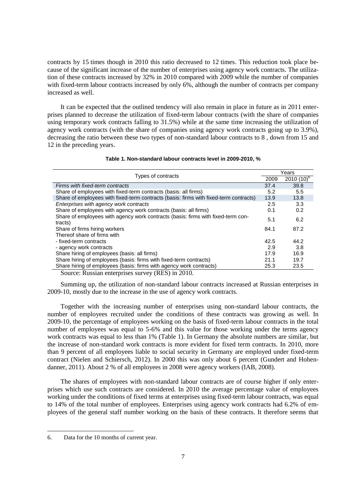contracts by 15 times though in 2010 this ratio decreased to 12 times. This reduction took place because of the significant increase of the number of enterprises using agency work contracts. The utilization of these contracts increased by 32% in 2010 compared with 2009 while the number of companies with fixed-term labour contracts increased by only 6%, although the number of contracts per company increased as well.

It can be expected that the outlined tendency will also remain in place in future as in 2011 enterprises planned to decrease the utilization of fixed-term labour contracts (with the share of companies using temporary work contracts falling to 31.5%) while at the same time increasing the utilization of agency work contracts (with the share of companies using agency work contracts going up to 3.9%), decreasing the ratio between these two types of non-standard labour contracts to 8 , down from 15 and 12 in the preceding years.

|                                                                                             |      | Years          |  |
|---------------------------------------------------------------------------------------------|------|----------------|--|
| Types of contracts                                                                          | 2009 | $2010(10)^{6}$ |  |
| Firms with fixed-term contracts                                                             | 37.4 | 39.8           |  |
| Share of employees with fixed-term contracts (basis: all firms)                             | 5.2  | 5.5            |  |
| Share of employees with fixed-term contracts (basis: firms with fixed-term contracts)       | 13.9 | 13.8           |  |
| Enterprises with agency work contracts                                                      | 2.5  | 3.3            |  |
| Share of employees with agency work contracts (basis: all firms)                            | 0.1  | 0.2            |  |
| Share of employees with agency work contracts (basis: firms with fixed-term con-<br>tracts) | 5.1  | 6.2            |  |
| Share of firms hiring workers                                                               | 84.1 | 87.2           |  |
| Thereof share of firms with                                                                 |      |                |  |
| - fixed-term contracts                                                                      | 42.5 | 44.2           |  |
| - agency work contracts                                                                     | 2.9  | 3.8            |  |
| Share hiring of employees (basis: all firms)                                                | 17.9 | 16.9           |  |
| Share hiring of employees (basis: firms with fixed-term contracts)                          | 21.1 | 19.7           |  |

#### **Table 1. Non-standard labour contracts level in 2009-2010, %**

Source: Russian enterprises survey (RES) in 2010.

Summing up, the utilization of non-standard labour contracts increased at Russian enterprises in 2009-10, mostly due to the increase in the use of agency work contracts.

Share hiring of employees (basis: firms with agency work contracts) 25.3 23.5

Together with the increasing number of enterprises using non-standard labour contracts, the number of employees recruited under the conditions of these contracts was growing as well. In 2009-10, the percentage of employees working on the basis of fixed-term labour contracts in the total number of employees was equal to 5-6% and this value for those working under the terms agency work contracts was equal to less than 1% (Table 1). In Germany the absolute numbers are similar, but the increase of non-standard work contracts is more evident for fixed term contracts. In 2010, more than 9 percent of all employees liable to social security in Germany are employed under fixed-term contract (Nielen and Schiersch, 2012). In 2000 this was only about 6 percent (Gundert and Hohendanner, 2011). About 2 % of all employees in 2008 were agency workers (IAB, 2008).

The shares of employees with non-standard labour contracts are of course higher if only enterprises which use such contracts are considered. In 2010 the average percentage value of employees working under the conditions of fixed terms at enterprises using fixed-term labour contracts, was equal to 14% of the total number of employees. Enterprises using agency work contracts had 6.2% of employees of the general staff number working on the basis of these contracts. It therefore seems that

 $\overline{a}$ 

<sup>6.</sup> Data for the 10 months of current year.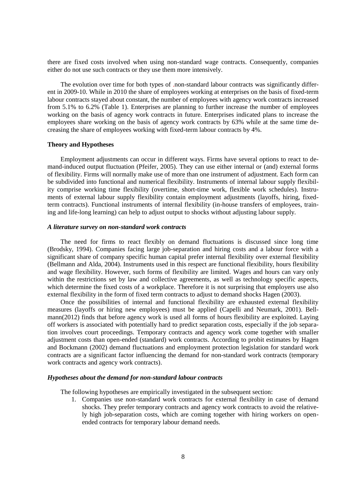there are fixed costs involved when using non-standard wage contracts. Consequently, companies either do not use such contracts or they use them more intensively.

The evolution over time for both types of .non-standard labour contracts was significantly different in 2009-10. While in 2010 the share of employees working at enterprises on the basis of fixed-term labour contracts stayed about constant, the number of employees with agency work contracts increased from 5.1% to 6.2% (Table 1). Enterprises are planning to further increase the number of employees working on the basis of agency work contracts in future. Enterprises indicated plans to increase the employees share working on the basis of agency work contracts by 63% while at the same time decreasing the share of employees working with fixed-term labour contracts by 4%.

### **Theory and Hypotheses**

Employment adjustments can occur in different ways. Firms have several options to react to demand-induced output fluctuation (Pfeifer, 2005). They can use either internal or (and) external forms of flexibility. Firms will normally make use of more than one instrument of adjustment. Each form can be subdivided into functional and numerical flexibility. Instruments of internal labour supply flexibility comprise working time flexibility (overtime, short-time work, flexible work schedules). Instruments of external labour supply flexibility contain employment adjustments (layoffs, hiring, fixedterm contracts). Functional instruments of internal flexibility (in-house transfers of employees, training and life-long learning) can help to adjust output to shocks without adjusting labour supply.

### *A literature survey on non-standard work contracts*

The need for firms to react flexibly on demand fluctuations is discussed since long time (Brodsky, 1994). Companies facing large job-separation and hiring costs and a labour force with a significant share of company specific human capital prefer internal flexibility over external flexibility (Bellmann and Alda, 2004). Instruments used in this respect are functional flexibility, hours flexibility and wage flexibility. However, such forms of flexibility are limited. Wages and hours can vary only within the restrictions set by law and collective agreements, as well as technology specific aspects, which determine the fixed costs of a workplace. Therefore it is not surprising that employers use also external flexibility in the form of fixed term contracts to adjust to demand shocks Hagen (2003).

Once the possibilities of internal and functional flexibility are exhausted external flexibility measures (layoffs or hiring new employees) must be applied (Capelli and Neumark, 2001). Bellmann(2012) finds that before agency work is used all forms of hours flexibility are exploited. Laying off workers is associated with potentially hard to predict separation costs, especially if the job separation involves court proceedings. Temporary contracts and agency work come together with smaller adjustment costs than open-ended (standard) work contracts. According to probit estimates by Hagen and Bockmann (2002) demand fluctuations and employment protection legislation for standard work contracts are a significant factor influencing the demand for non-standard work contracts (temporary work contracts and agency work contracts).

### *Hypotheses about the demand for non-standard labour contracts*

The following hypotheses are empirically investigated in the subsequent section:

1. Companies use non-standard work contracts for external flexibility in case of demand shocks. They prefer temporary contracts and agency work contracts to avoid the relatively high job-separation costs, which are coming together with hiring workers on openended contracts for temporary labour demand needs.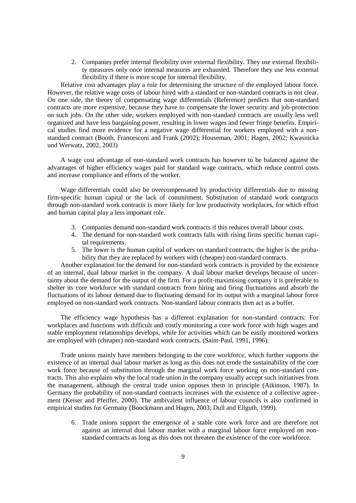2. Companies prefer internal flexibility over external flexibility. They use external flexibility measures only once internal measures are exhausted. Therefore they use less external flexibility if there is more scope for internal flexibility.

Relative cost advantages play a role for determining the structure of the employed labour force. However, the relative wage costs of labour hired with a standard or non-standard contracts is not clear. On one side, the theory of compensating wage differentials (Reference) predicts that non-standard contracts are more expensive, because they have to compensate the lower security and job-protection on such jobs. On the other side, workers employed with non-standard contracts are usually less well organized and have less bargaining power, resulting in lower wages and fewer fringe benefits. Empirical studies find more evidence for a negative wage differential for workers employed with a nonstandard contract (Booth, Francesconi and Frank (2002); Houseman, 2001; Hagen, 2002; Kwasnicka und Werwatz, 2002, 2003)

A wage cost advantage of non-standard work contracts has however to be balanced against the advantages of higher efficiency wages paid for standard wage contracts, which reduce control costs and increase compliance and efforts of the worker.

Wage differentials could also be overcompensated by productivity differentials due to missing firm-specific human capital or the lack of commitment. Substitution of standard work contgracts through non-standard work contracts is more likely for low productivity workplaces, for which effort and human capital play a less important role.

- 3. Companies demand non-standard work contracts if this reduces overall labour costs.
- 4. The demand for non-standard work contracts falls with rising firms specific human capital requirements.
- 5. The lower is the human capital of workers on standard contracts, the higher is the probability that they are replaced by workers with (cheaper) non-standard contracts.

Another explanation for the demand for non-standard work contracts is provided by the existence of an internal, dual labour market in the company. A dual labour market develops because of uncertainty about the demand for the output of the firm. For a profit-maximising company it is preferable to shelter its core workforce with standard contracts from hiring and firing fluctuations and absorb the fluctuations of its labour demand due to fluctuating demand for its output with a marginal labour force employed on non-standard work contracts. Non-standard labour contracts then act as a buffer.

The efficiency wage hypothesis has a different explanation for non-standard contracts: For workplaces and functions with difficult and costly monitoring a core work force with high wages and stable employment relationships develops, while for activities which can be easily monitored workers are employed with (cheaper) non-standard work contracts. (Saint-Paul, 1991, 1996).

Trade unions mainly have members belonging to the core workforce, which further supports the existence of an internal dual labour market as long as this does not erode the sustainability of the core work force because of substitution through the marginal work force working on non-standard contracts. This also explains why the local trade union in the company usually accept such initiatives from the management, although the central trade union opposes them in principle (Atkinson, 1987). In Germany the probability of non-standard contracts increases with the existence of a collective agreement (Keiser and Pfeiffer, 2000). The ambivalent influence of labour councils is also confirmed in empirical studies for Germany (Boockmann and Hagen, 2003; Dull and Ellguth, 1999).

6. Trade unions support the emergence of a stable core work force and are therefore not against an internal dual labour market with a marginal labour force employed on nonstandard contracts as long as this does not threaten the existence of the core workforce.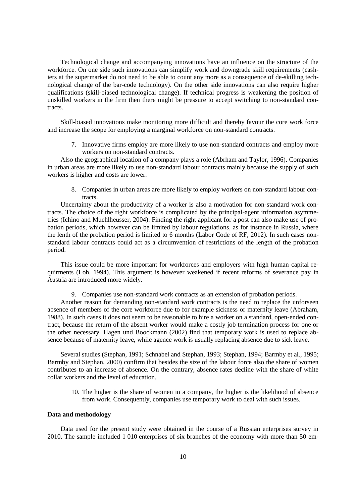Technological change and accompanying innovations have an influence on the structure of the workforce. On one side such innovations can simplify work and downgrade skill requirements (cashiers at the supermarket do not need to be able to count any more as a consequence of de-skilling technological change of the bar-code technology). On the other side innovations can also require higher qualifications (skill-biased technological change). If technical progress is weakening the position of unskilled workers in the firm then there might be pressure to accept switching to non-standard contracts.

Skill-biased innovations make monitoring more difficult and thereby favour the core work force and increase the scope for employing a marginal workforce on non-standard contracts.

7. Innovative firms employ are more likely to use non-standard contracts and employ more workers on non-standard contracts.

Also the geographical location of a company plays a role (Abrham and Taylor, 1996). Companies in urban areas are more likely to use non-standard labour contracts mainly because the supply of such workers is higher and costs are lower.

8. Companies in urban areas are more likely to employ workers on non-standard labour contracts.

Uncertainty about the productivity of a worker is also a motivation for non-standard work contracts. The choice of the right workforce is complicated by the principal-agent information asymmetries (Ichino and Muehlheusser, 2004). Finding the right applicant for a post can also make use of probation periods, which however can be limited by labour regulations, as for instance in Russia, where the lenth of the probation period is limited to 6 months (Labor Code of RF, 2012). In such cases nonstandard labour contracts could act as a circumvention of restrictions of the length of the probation period.

This issue could be more important for workforces and employers with high human capital requirments (Loh, 1994). This argument is however weakened if recent reforms of severance pay in Austria are introduced more widely.

9. Companies use non-standard work contracts as an extension of probation periods.

Another reason for demanding non-standard work contracts is the need to replace the unforseen absence of members of the core workforce due to for example sickness or maternity leave (Abraham, 1988). In such cases it does not seem to be reasonable to hire a worker on a standard, open-ended contract, because the return of the absent worker would make a costly job termination process for one or the other necessary. Hagen und Boockmann (2002) find that temporary work is used to replace absence because of maternity leave, while agence work is usually replacing absence due to sick leave.

Several studies (Stephan, 1991; Schnabel and Stephan, 1993; Stephan, 1994; Barmby et al., 1995; Barmby and Stephan, 2000) confirm that besides the size of the labour force also the share of women contributes to an increase of absence. On the contrary, absence rates decline with the share of white collar workers and the level of education.

10. The higher is the share of women in a company, the higher is the likelihood of absence from work. Consequently, companies use temporary work to deal with such issues.

## **Data and methodology**

Data used for the present study were obtained in the course of a Russian enterprises survey in 2010. The sample included 1 010 enterprises of six branches of the economy with more than 50 em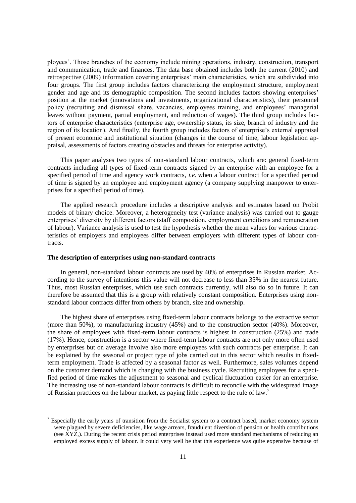ployees". Those branches of the economy include mining operations, industry, construction, transport and communication, trade and finances. The data base obtained includes both the current (2010) and retrospective (2009) information covering enterprises" main characteristics, which are subdivided into four groups. The first group includes factors characterizing the employment structure, employment gender and age and its demographic composition. The second includes factors showing enterprises' position at the market (innovations and investments, organizational characteristics), their personnel policy (recruiting and dismissal share, vacancies, employees training, and employees" managerial leaves without payment, partial employment, and reduction of wages). The third group includes factors of enterprise characteristics (enterprise age, ownership status, its size, branch of industry and the region of its location). And finally, the fourth group includes factors of enterprise's external appraisal of present economic and institutional situation (changes in the course of time, labour legislation appraisal, assessments of factors creating obstacles and threats for enterprise activity).

This paper analyses two types of non-standard labour contracts, which are: general fixed-term contracts including all types of fixed-term contracts signed by an enterprise with an employee for a specified period of time and agency work contracts, *i.e.* when a labour contract for a specified period of time is signed by an employee and employment agency (a company supplying manpower to enterprises for a specified period of time).

The applied research procedure includes a descriptive analysis and estimates based on Probit models of binary choice. Moreover, a heterogeneity test (variance analysis) was carried out to gauge enterprises" diversity by different factors (staff composition, employment conditions and remuneration of labour). Variance analysis is used to test the hypothesis whether the mean values for various characteristics of employers and employees differ between employers with different types of labour contracts.

## <span id="page-10-0"></span>**The description of enterprises using non-standard contracts**

l

In general, non-standard labour contracts are used by 40% of enterprises in Russian market. According to the survey of intentions this value will not decrease to less than 35% in the nearest future. Thus, most Russian enterprises, which use such contracts currently, will also do so in future. It can therefore be assumed that this is a group with relatively constant composition. Enterprises using nonstandard labour contracts differ from others by branch, size and ownership.

The highest share of enterprises using fixed-term labour contracts belongs to the extractive sector (more than 50%), to manufacturing industry (45%) and to the construction sector (40%). Moreover, the share of employees with fixed-term labour contracts is highest in construction (25%) and trade (17%). Hence, construction is a sector where fixed-term labour contracts are not only more often used by enterprises but on average involve also more employees with such contracts per enterprise. It can be explained by the seasonal or project type of jobs carried out in this sector which results in fixedterm employment. Trade is affected by a seasonal factor as well. Furthermore, sales volumes depend on the customer demand which is changing with the business cycle. Recruiting employees for a specified period of time makes the adjustment to seasonal and cyclical fluctuation easier for an enterprise. The increasing use of non-standard labour contracts is difficult to reconcile with the widespread image of Russian practices on the labour market, as paying little respect to the rule of law.<sup>7</sup>

 $7$  Especially the early years of transition from the Socialist system to a contract based, market economy system were plagued by severe deficiencies, like wage arrears, fraudulent diversion of pension or health contributions (see XYZ,). During the recent crisis period enterprises instead used more standard mechanisms of reducing an employed excess supply of labour. It could very well be that this experience was quite expensive because of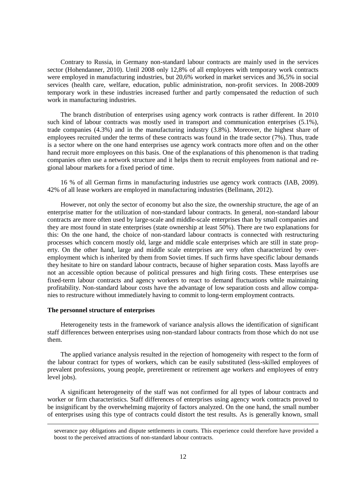Contrary to Russia, in Germany non-standard labour contracts are mainly used in the services sector (Hohendanner, 2010). Until 2008 only 12,8% of all employees with temporary work contracts were employed in manufacturing industries, but 20,6% worked in market services and 36,5% in social services (health care, welfare, education, public administration, non-profit services. In 2008-2009 temporary work in these industries increased further and partly compensated the reduction of such work in manufacturing industries.

The branch distribution of enterprises using agency work contracts is rather different. In 2010 such kind of labour contracts was mostly used in transport and communication enterprises (5.1%), trade companies (4.3%) and in the manufacturing industry (3.8%). Moreover, the highest share of employees recruited under the terms of these contracts was found in the trade sector (7%). Thus, trade is a sector where on the one hand enterprises use agency work contracts more often and on the other hand recruit more employees on this basis. One of the explanations of this phenomenon is that trading companies often use a network structure and it helps them to recruit employees from national and regional labour markets for a fixed period of time.

16 % of all German firms in manufacturing industries use agency work contracts (IAB, 2009). 42% of all lease workers are employed in manufacturing industries (Bellmann, 2012).

However, not only the sector of economy but also the size, the ownership structure, the age of an enterprise matter for the utilization of non-standard labour contracts. In general, non-standard labour contracts are more often used by large-scale and middle-scale enterprises than by small companies and they are most found in state enterprises (state ownership at least 50%). There are two explanations for this: On the one hand, the choice of non-standard labour contracts is connected with restructuring processes which concern mostly old, large and middle scale enterprises which are still in state property. On the other hand, large and middle scale enterprises are very often characterized by overemployment which is inherited by them from Soviet times. If such firms have specific labour demands they hesitate to hire on standard labour contracts, because of higher separation costs. Mass layoffs are not an accessible option because of political pressures and high firing costs. These enterprises use fixed-term labour contracts and agency workers to react to demand fluctuations while maintaining profitability. Non-standard labour costs have the advantage of low separation costs and allow companies to restructure without immediately having to commit to long-term employment contracts.

### <span id="page-11-0"></span>**The personnel structure of enterprises**

l

Heterogeneity tests in the framework of variance analysis allows the identification of significant staff differences between enterprises using non-standard labour contracts from those which do not use them.

The applied variance analysis resulted in the rejection of homogeneity with respect to the form of the labour contract for types of workers, which can be easily substituted (less-skilled employees of prevalent professions, young people, preretirement or retirement age workers and employees of entry level jobs).

A significant heterogeneity of the staff was not confirmed for all types of labour contracts and worker or firm characteristics. Staff differences of enterprises using agency work contracts proved to be insignificant by the overwhelming majority of factors analyzed. On the one hand, the small number of enterprises using this type of contracts could distort the test results. As is generally known, small

severance pay obligations and dispute settlements in courts. This experience could therefore have provided a boost to the perceived attractions of non-standard labour contracts.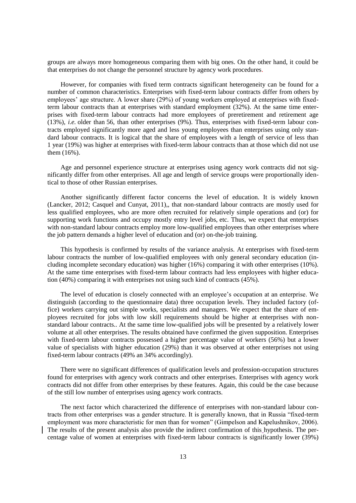groups are always more homogeneous comparing them with big ones. On the other hand, it could be that enterprises do not change the personnel structure by agency work procedures.

However, for companies with fixed term contracts significant heterogeneity can be found for a number of common characteristics. Enterprises with fixed-term labour contracts differ from others by employees' age structure. A lower share (29%) of young workers employed at enterprises with fixedterm labour contracts than at enterprises with standard employment (32%). At the same time enterprises with fixed-term labour contracts had more employees of preretirement and retirement age (13%), *i.e.* older than 56, than other enterprises (9%). Thus, enterprises with fixed-term labour contracts employed significantly more aged and less young employees than enterprises using only standard labour contracts. It is logical that the share of employees with a length of service of less than 1 year (19%) was higher at enterprises with fixed-term labour contracts than at those which did not use them (16%).

Age and personnel experience structure at enterprises using agency work contracts did not significantly differ from other enterprises. All age and length of service groups were proportionally identical to those of other Russian enterprises.

Another significantly different factor concerns the level of education. It is widely known (Lancker, 2012; Casquel and Cunyat, 2011),, that non-standard labour contracts are mostly used for less qualified employees, who are more often recruited for relatively simple operations and (or) for supporting work functions and occupy mostly entry level jobs, etc. Thus, we expect that enterprises with non-standard labour contracts employ more low-qualified employees than other enterprises where the job pattern demands a higher level of education and (or) on-the-job training.

This hypothesis is confirmed by results of the variance analysis. At enterprises with fixed-term labour contracts the number of low-qualified employees with only general secondary education (including incomplete secondary education) was higher (16%) comparing it with other enterprises (10%). At the same time enterprises with fixed-term labour contracts had less employees with higher education (40%) comparing it with enterprises not using such kind of contracts (45%).

The level of education is closely connected with an employee"s occupation at an enterprise. We distinguish (according to the questionnaire data) three occupation levels. They included factory (office) workers carrying out simple works, specialists and managers. We expect that the share of employees recruited for jobs with low skill requirements should be higher at enterprises with nonstandard labour contracts.. At the same time low-qualified jobs will be presented by a relatively lower volume at all other enterprises. The results obtained have confirmed the given supposition. Enterprises with fixed-term labour contracts possessed a higher percentage value of workers (56%) but a lower value of specialists with higher education (29%) than it was observed at other enterprises not using fixed-term labour contracts (49% an 34% accordingly).

There were no significant differences of qualification levels and profession-occupation structures found for enterprises with agency work contracts and other enterprises. Enterprises with agency work contracts did not differ from other enterprises by these features. Again, this could be the case because of the still low number of enterprises using agency work contracts.

The next factor which characterized the difference of enterprises with non-standard labour contracts from other enterprises was a gender structure. It is generally known, that in Russia "fixed-term employment was more characteristic for men than for women" (Gimpelson and Kapelushnikov, 2006). The results of the present analysis also provide the indirect confirmation of this hypothesis. The percentage value of women at enterprises with fixed-term labour contracts is significantly lower (39%)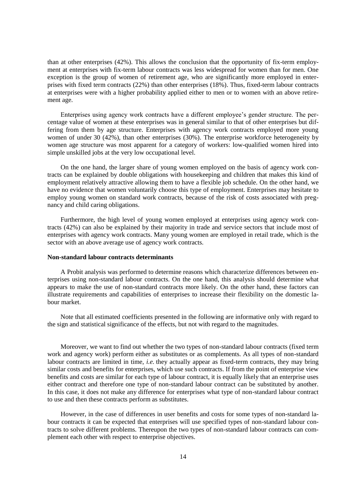than at other enterprises (42%). This allows the conclusion that the opportunity of fix-term employment at enterprises with fix-term labour contracts was less widespread for women than for men. One exception is the group of women of retirement age, who are significantly more employed in enterprises with fixed term contracts (22%) than other enterprises (18%). Thus, fixed-term labour contracts at enterprises were with a higher probability applied either to men or to women with an above retirement age.

Enterprises using agency work contracts have a different employee's gender structure. The percentage value of women at these enterprises was in general similar to that of other enterprises but differing from them by age structure. Enterprises with agency work contracts employed more young women of under 30 (42%), than other enterprises (30%). The enterprise workforce heterogeneity by women age structure was most apparent for a category of workers: low-qualified women hired into simple unskilled jobs at the very low occupational level.

On the one hand, the larger share of young women employed on the basis of agency work contracts can be explained by double obligations with housekeeping and children that makes this kind of employment relatively attractive allowing them to have a flexible job schedule. On the other hand, we have no evidence that women voluntarily choose this type of employment. Enterprises may hesitate to employ young women on standard work contracts, because of the risk of costs associated with pregnancy and child caring obligations.

Furthermore, the high level of young women employed at enterprises using agency work contracts (42%) can also be explained by their majority in trade and service sectors that include most of enterprises with agency work contracts. Many young women are employed in retail trade, which is the sector with an above average use of agency work contracts.

#### <span id="page-13-0"></span>**Non-standard labour contracts determinants**

A Probit analysis was performed to determine reasons which characterize differences between enterprises using non-standard labour contracts. On the one hand, this analysis should determine what appears to make the use of non-standard contracts more likely. On the other hand, these factors can illustrate requirements and capabilities of enterprises to increase their flexibility on the domestic labour market.

Note that all estimated coefficients presented in the following are informative only with regard to the sign and statistical significance of the effects, but not with regard to the magnitudes.

Moreover, we want to find out whether the two types of non-standard labour contracts (fixed term work and agency work) perform either as substitutes or as complements. As all types of non-standard labour contracts are limited in time, *i.e.* they actually appear as fixed-term contracts, they may bring similar costs and benefits for enterprises, which use such contracts. If from the point of enterprise view benefits and costs are similar for each type of labour contract, it is equally likely that an enterprise uses either contract and therefore one type of non-standard labour contract can be substituted by another. In this case, it does not make any difference for enterprises what type of non-standard labour contract to use and then these contracts perform as substitutes.

However, in the case of differences in user benefits and costs for some types of non-standard labour contracts it can be expected that enterprises will use specified types of non-standard labour contracts to solve different problems. Thereupon the two types of non-standard labour contracts can complement each other with respect to enterprise objectives.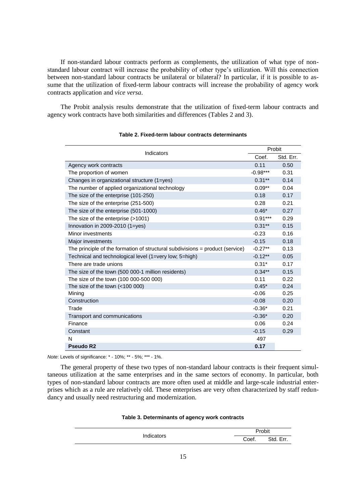If non-standard labour contracts perform as complements, the utilization of what type of nonstandard labour contract will increase the probability of other type"s utilization. Will this connection between non-standard labour contracts be unilateral or bilateral? In particular, if it is possible to assume that the utilization of fixed-term labour contracts will increase the probability of agency work contracts application and *vice versa*.

The Probit analysis results demonstrate that the utilization of fixed-term labour contracts and agency work contracts have both similarities and differences (Tables 2 and 3).

| Indicators                                                                      |            | Probit    |  |  |
|---------------------------------------------------------------------------------|------------|-----------|--|--|
|                                                                                 | Coef.      | Std. Err. |  |  |
| Agency work contracts                                                           | 0.11       | 0.50      |  |  |
| The proportion of women                                                         | $-0.98***$ | 0.31      |  |  |
| Changes in organizational structure (1=yes)                                     | $0.31***$  | 0.14      |  |  |
| The number of applied organizational technology                                 | $0.09**$   | 0.04      |  |  |
| The size of the enterprise (101-250)                                            | 0.18       | 0.17      |  |  |
| The size of the enterprise (251-500)                                            | 0.28       | 0.21      |  |  |
| The size of the enterprise (501-1000)                                           | $0.46*$    | 0.27      |  |  |
| The size of the enterprise (>1001)                                              | $0.91***$  | 0.29      |  |  |
| Innovation in $2009-2010$ (1=yes)                                               | $0.31***$  | 0.15      |  |  |
| Minor investments                                                               | $-0.23$    | 0.16      |  |  |
| Major investments                                                               | $-0.15$    | 0.18      |  |  |
| The principle of the formation of structural subdivisions $=$ product (service) | $-0.27**$  | 0.13      |  |  |
| Technical and technological level (1=very low; 5=high)                          | $-0.12**$  | 0.05      |  |  |
| There are trade unions                                                          | $0.31*$    | 0.17      |  |  |
| The size of the town (500 000-1 million residents)                              | $0.34***$  | 0.15      |  |  |
| The size of the town (100 000-500 000)                                          | 0.11       | 0.22      |  |  |
| The size of the town $(<100 000)$                                               | $0.45*$    | 0.24      |  |  |
| Mining                                                                          | $-0.06$    | 0.25      |  |  |
| Construction                                                                    | $-0.08$    | 0.20      |  |  |
| Trade                                                                           | $-0.36*$   | 0.21      |  |  |
| Transport and communications                                                    | $-0.36*$   | 0.20      |  |  |
| Finance                                                                         | 0.06       | 0.24      |  |  |
| Constant                                                                        | $-0.15$    | 0.29      |  |  |
| N                                                                               | 497        |           |  |  |
| Pseudo R <sub>2</sub>                                                           | 0.17       |           |  |  |

### <span id="page-14-0"></span>**Table 2. Fixed-term labour contracts determinants**

*Note*: Levels of significance: \* - 10%; \*\* - 5%; \*\*\* - 1%.

The general property of these two types of non-standard labour contracts is their frequent simultaneous utilization at the same enterprises and in the same sectors of economy. In particular, both types of non-standard labour contracts are more often used at middle and large-scale industrial enterprises which as a rule are relatively old. These enterprises are very often characterized by staff redundancy and usually need restructuring and modernization.

<span id="page-14-1"></span>

|  | Table 3. Determinants of agency work contracts |  |  |  |
|--|------------------------------------------------|--|--|--|
|--|------------------------------------------------|--|--|--|

|            | Probit |                 |  |
|------------|--------|-----------------|--|
| Indicators | Coef.  | Std. Er<br>Err. |  |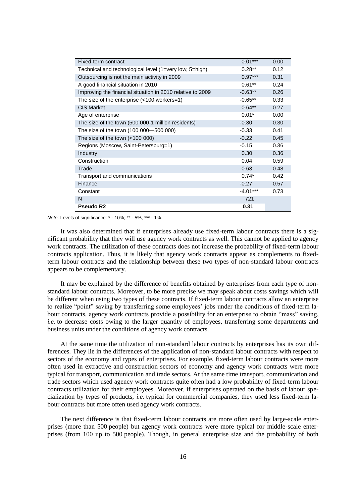| Fixed-term contract                                        | $0.01***$  | 0.00 |
|------------------------------------------------------------|------------|------|
| Technical and technological level (1=very low; 5=high)     | $0.28**$   | 0.12 |
| Outsourcing is not the main activity in 2009               | $0.97***$  | 0.31 |
| A good financial situation in 2010                         | $0.61**$   | 0.24 |
| Improving the financial situation in 2010 relative to 2009 | $-0.63**$  | 0.26 |
| The size of the enterprise $($ < 100 workers=1)            | $-0.65**$  | 0.33 |
| <b>CIS Market</b>                                          | $0.64**$   | 0.27 |
| Age of enterprise                                          | $0.01*$    | 0.00 |
| The size of the town (500 000-1 million residents)         | $-0.30$    | 0.30 |
| The size of the town (100 000–500 000)                     | $-0.33$    | 0.41 |
| The size of the town $(<100 000)$                          | $-0.22$    | 0.45 |
| Regions (Moscow, Saint-Petersburg=1)                       | $-0.15$    | 0.36 |
| Industry                                                   | 0.30       | 0.36 |
| Construction                                               | 0.04       | 0.59 |
| Trade                                                      | 0.63       | 0.48 |
| Transport and communications                               | $0.74*$    | 0.42 |
| Finance                                                    | $-0.27$    | 0.57 |
| Constant                                                   | $-4.01***$ | 0.73 |
| N                                                          | 721        |      |
| Pseudo R2                                                  | 0.31       |      |

*Note*: Levels of significance: \* - 10%; \*\* - 5%; \*\*\* - 1%.

It was also determined that if enterprises already use fixed-term labour contracts there is a significant probability that they will use agency work contracts as well. This cannot be applied to agency work contracts. The utilization of these contracts does not increase the probability of fixed-term labour contracts application. Thus, it is likely that agency work contracts appear as complements to fixedterm labour contracts and the relationship between these two types of non-standard labour contracts appears to be complementary.

It may be explained by the difference of benefits obtained by enterprises from each type of nonstandard labour contracts. Moreover, to be more precise we may speak about costs savings which will be different when using two types of these contracts. If fixed-term labour contracts allow an enterprise to realize "point" saving by transferring some employees" jobs under the conditions of fixed-term labour contracts, agency work contracts provide a possibility for an enterprise to obtain "mass" saving, *i.e.* to decrease costs owing to the larger quantity of employees, transferring some departments and business units under the conditions of agency work contracts.

At the same time the utilization of non-standard labour contracts by enterprises has its own differences. They lie in the differences of the application of non-standard labour contracts with respect to sectors of the economy and types of enterprises. For example, fixed-term labour contracts were more often used in extractive and construction sectors of economy and agency work contracts were more typical for transport, communication and trade sectors. At the same time transport, communication and trade sectors which used agency work contracts quite often had a low probability of fixed-term labour contracts utilization for their employees. Moreover, if enterprises operated on the basis of labour specialization by types of products, *i.e.* typical for commercial companies, they used less fixed-term labour contracts but more often used agency work contracts.

The next difference is that fixed-term labour contracts are more often used by large-scale enterprises (more than 500 people) but agency work contracts were more typical for middle-scale enterprises (from 100 up to 500 people). Though, in general enterprise size and the probability of both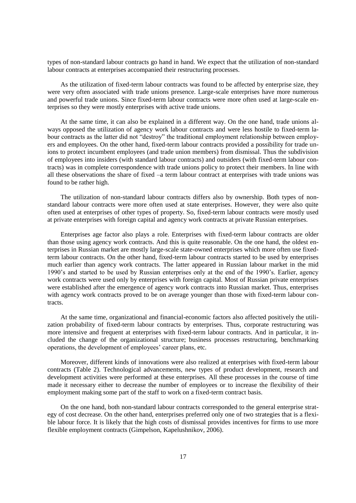types of non-standard labour contracts go hand in hand. We expect that the utilization of non-standard labour contracts at enterprises accompanied their restructuring processes.

As the utilization of fixed-term labour contracts was found to be affected by enterprise size, they were very often associated with trade unions presence. Large-scale enterprises have more numerous and powerful trade unions. Since fixed-term labour contracts were more often used at large-scale enterprises so they were mostly enterprises with active trade unions.

At the same time, it can also be explained in a different way. On the one hand, trade unions always opposed the utilization of agency work labour contracts and were less hostile to fixed-term labour contracts as the latter did not "destroy" the traditional employment relationship between employers and employees. On the other hand, fixed-term labour contracts provided a possibility for trade unions to protect incumbent employees (and trade union members) from dismissal. Thus the subdivision of employees into insiders (with standard labour contracts) and outsiders (with fixed-term labour contracts) was in complete correspondence with trade unions policy to protect their members. In line with all these observations the share of fixed –a term labour contract at enterprises with trade unions was found to be rather high.

The utilization of non-standard labour contracts differs also by ownership. Both types of nonstandard labour contracts were more often used at state enterprises. However, they were also quite often used at enterprises of other types of property. So, fixed-term labour contracts were mostly used at private enterprises with foreign capital and agency work contracts at private Russian enterprises.

Enterprises age factor also plays a role. Enterprises with fixed-term labour contracts are older than those using agency work contracts. And this is quite reasonable. On the one hand, the oldest enterprises in Russian market are mostly large-scale state-owned enterprises which more often use fixedterm labour contracts. On the other hand, fixed-term labour contracts started to be used by enterprises much earlier than agency work contracts. The latter appeared in Russian labour market in the mid 1990"s and started to be used by Russian enterprises only at the end of the 1990"s. Earlier, agency work contracts were used only by enterprises with foreign capital. Most of Russian private enterprises were established after the emergence of agency work contracts into Russian market. Thus, enterprises with agency work contracts proved to be on average younger than those with fixed-term labour contracts.

At the same time, organizational and financial-economic factors also affected positively the utilization probability of fixed-term labour contracts by enterprises. Thus, corporate restructuring was more intensive and frequent at enterprises with fixed-term labour contracts. And in particular, it included the change of the organizational structure; business processes restructuring, benchmarking operations, the development of employees' career plans, etc.

Moreover, different kinds of innovations were also realized at enterprises with fixed-term labour contracts (Table 2). Technological advancements, new types of product development, research and development activities were performed at these enterprises. All these processes in the course of time made it necessary either to decrease the number of employees or to increase the flexibility of their employment making some part of the staff to work on a fixed-term contract basis.

On the one hand, both non-standard labour contracts corresponded to the general enterprise strategy of cost decrease. On the other hand, enterprises preferred only one of two strategies that is a flexible labour force. It is likely that the high costs of dismissal provides incentives for firms to use more flexible employment contracts (Gimpelson, Kapelushnikov, 2006).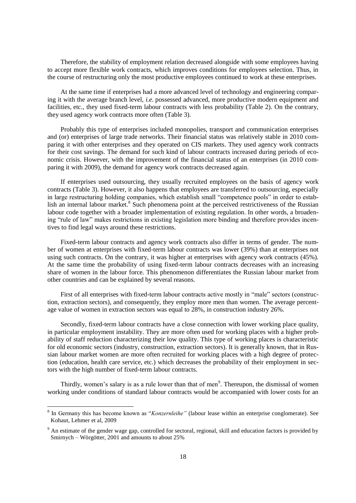Therefore, the stability of employment relation decreased alongside with some employees having to accept more flexible work contracts, which improves conditions for employees selection. Thus, in the course of restructuring only the most productive employees continued to work at these enterprises.

At the same time if enterprises had a more advanced level of technology and engineering comparing it with the average branch level, *i.e.* possessed advanced, more productive modern equipment and facilities, etc., they used fixed-term labour contracts with less probability (Table 2). On the contrary, they used agency work contracts more often (Table 3).

Probably this type of enterprises included monopolies, transport and communication enterprises and (or) enterprises of large trade networks. Their financial status was relatively stable in 2010 comparing it with other enterprises and they operated on CIS markets. They used agency work contracts for their cost savings. The demand for such kind of labour contracts increased during periods of economic crisis. However, with the improvement of the financial status of an enterprises (in 2010 comparing it with 2009), the demand for agency work contracts decreased again.

If enterprises used outsourcing, they usually recruited employees on the basis of agency work contracts (Table 3). However, it also happens that employees are transferred to outsourcing, especially in large restructuring holding companies, which establish small "competence pools" in order to establish an internal labour market.<sup>8</sup> Such phenomena point at the perceived restrictiveness of the Russian labour code together with a broader implementation of existing regulation. In other words, a broadening "rule of law" makes restrictions in existing legislation more binding and therefore provides incentives to find legal ways around these restrictions.

Fixed-term labour contracts and agency work contracts also differ in terms of gender. The number of women at enterprises with fixed-term labour contracts was lower (39%) than at enterprises not using such contracts. On the contrary, it was higher at enterprises with agency work contracts (45%). At the same time the probability of using fixed-term labour contracts decreases with an increasing share of women in the labour force. This phenomenon differentiates the Russian labour market from other countries and can be explained by several reasons.

First of all enterprises with fixed-term labour contracts active mostly in "male" sectors (construction, extraction sectors), and consequently, they employ more men than women. The average percentage value of women in extraction sectors was equal to 28%, in construction industry 26%.

Secondly, fixed-term labour contracts have a close connection with lower working place quality, in particular employment instability. They are more often used for working places with a higher probability of staff reduction characterizing their low quality. This type of working places is characteristic for old economic sectors (industry, construction, extraction sectors). It is generally known, that in Russian labour market women are more often recruited for working places with a high degree of protection (education, health care service, etc.) which decreases the probability of their employment in sectors with the high number of fixed-term labour contracts.

Thirdly, women's salary is as a rule lower than that of men<sup>9</sup>. Thereupon, the dismissal of women working under conditions of standard labour contracts would be accompanied with lower costs for an

l

<sup>8</sup> In Germany this has become known as "*Konzernleihe"* (labour lease within an enterprise conglomerate). See Kohaut, Lehmer et al, 2009

 $9$  An estimate of the gender wage gap, controlled for sectoral, regional, skill and education factors is provided by Smirnych – Wörgötter, 2001 and amounts to about 25%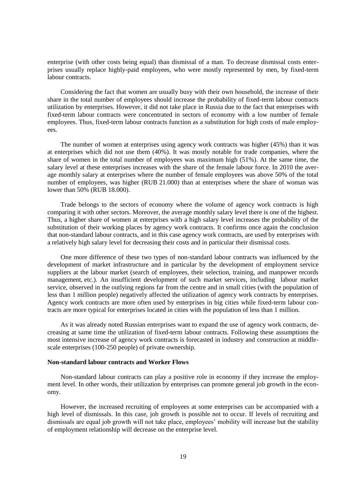enterprise (with other costs being equal) than dismissal of a man. To decrease dismissal costs enterprises usually replace highly-paid employees, who were mostly represented by men, by fixed-term labour contracts.

Considering the fact that women are usually busy with their own household, the increase of their share in the total number of employees should increase the probability of fixed-term labour contracts utilization by enterprises. However, it did not take place in Russia due to the fact that enterprises with fixed-term labour contracts were concentrated in sectors of economy with a low number of female employees. Thus, fixed-term labour contracts function as a substitution for high costs of male employees.

The number of women at enterprises using agency work contracts was higher (45%) than it was at enterprises which did not use them (40%). It was mostly notable for trade companies, where the share of women in the total number of employees was maximum high (51%). At the same time, the salary level at these enterprises increases with the share of the female labour force. In 2010 the average monthly salary at enterprises where the number of female employees was above 50% of the total number of employees, was higher (RUB 21.000) than at enterprises where the share of woman was lower than 50% (RUB 18.000).

Trade belongs to the sectors of economy where the volume of agency work contracts is high comparing it with other sectors. Moreover, the average monthly salary level there is one of the highest. Thus, a higher share of women at enterprises with a high salary level increases the probability of the substitution of their working places by agency work contracts. It confirms once again the conclusion that non-standard labour contracts, and in this case agency work contracts, are used by enterprises with a relatively high salary level for decreasing their costs and in particular their dismissal costs.

One more difference of these two types of non-standard labour contracts was influenced by the development of market infrastructure and in particular by the development of employment service suppliers at the labour market (search of employees, their selection, training, and manpower records management, etc.). An insufficient development of such market services, including labour market service, observed in the outlying regions far from the centre and in small cities (with the population of less than 1 million people) negatively affected the utilization of agency work contracts by enterprises. Agency work contracts are more often used by enterprises in big cities while fixed-term labour contracts are more typical for enterprises located in cities with the population of less than 1 million.

As it was already noted Russian enterprises want to expand the use of agency work contracts, decreasing at same time the utilization of fixed-term labour contracts. Following these assumptions the most intensive increase of agency work contracts is forecasted in industry and construction at middlescale enterprises (100-250 people) of private ownership.

## <span id="page-18-0"></span>**Non-standard labour contracts and Worker Flows**

Non-standard labour contracts can play a positive role in economy if they increase the employment level. In other words, their utilization by enterprises can promote general job growth in the economy.

However, the increased recruiting of employees at some enterprises can be accompanied with a high level of dismissals. In this case, job growth is possible not to occur. If levels of recruiting and dismissals are equal job growth will not take place, employees" mobility will increase but the stability of employment relationship will decrease on the enterprise level.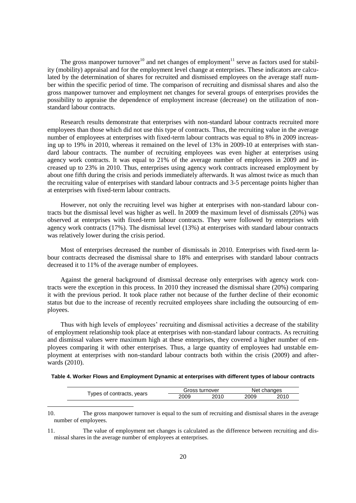The gross manpower turnover<sup>10</sup> and net changes of employment<sup>11</sup> serve as factors used for stability (mobility) appraisal and for the employment level change at enterprises. These indicators are calculated by the determination of shares for recruited and dismissed employees on the average staff number within the specific period of time. The comparison of recruiting and dismissal shares and also the gross manpower turnover and employment net changes for several groups of enterprises provides the possibility to appraise the dependence of employment increase (decrease) on the utilization of nonstandard labour contracts.

Research results demonstrate that enterprises with non-standard labour contracts recruited more employees than those which did not use this type of contracts. Thus, the recruiting value in the average number of employees at enterprises with fixed-term labour contracts was equal to 8% in 2009 increasing up to 19% in 2010, whereas it remained on the level of 13% in 2009-10 at enterprises with standard labour contracts. The number of recruiting employees was even higher at enterprises using agency work contracts. It was equal to 21% of the average number of employees in 2009 and increased up to 23% in 2010. Thus, enterprises using agency work contracts increased employment by about one fifth during the crisis and periods immediately afterwards. It was almost twice as much than the recruiting value of enterprises with standard labour contracts and 3-5 percentage points higher than at enterprises with fixed-term labour contracts.

However, not only the recruiting level was higher at enterprises with non-standard labour contracts but the dismissal level was higher as well. In 2009 the maximum level of dismissals (20%) was observed at enterprises with fixed-term labour contracts. They were followed by enterprises with agency work contracts (17%). The dismissal level (13%) at enterprises with standard labour contracts was relatively lower during the crisis period.

Most of enterprises decreased the number of dismissals in 2010. Enterprises with fixed-term labour contracts decreased the dismissal share to 18% and enterprises with standard labour contracts decreased it to 11% of the average number of employees.

Against the general background of dismissal decrease only enterprises with agency work contracts were the exception in this process. In 2010 they increased the dismissal share (20%) comparing it with the previous period. It took place rather not because of the further decline of their economic status but due to the increase of recently recruited employees share including the outsourcing of employees.

Thus with high levels of employees" recruiting and dismissal activities a decrease of the stability of employment relationship took place at enterprises with non-standard labour contracts. As recruiting and dismissal values were maximum high at these enterprises, they covered a higher number of employees comparing it with other enterprises. Thus, a large quantity of employees had unstable employment at enterprises with non-standard labour contracts both within the crisis (2009) and afterwards (2010).

<span id="page-19-0"></span>

|                           | Gross turnover |      | Net changes |      |
|---------------------------|----------------|------|-------------|------|
| Types of contracts, years | 2009           | 2010 | 2009        | 2010 |

l

10. The gross manpower turnover is equal to the sum of recruiting and dismissal shares in the average number of employees.

11. The value of employment net changes is calculated as the difference between recruiting and dismissal shares in the average number of employees at enterprises.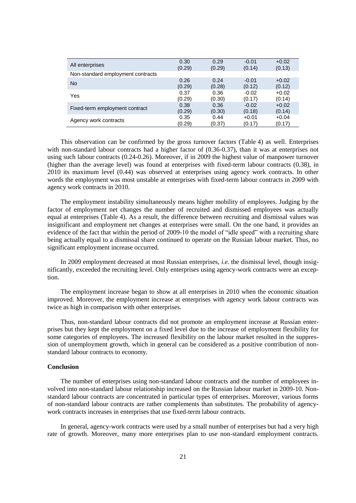| All enterprises                   | 0.30   | 0.29   | $-0.01$ | $+0.02$ |
|-----------------------------------|--------|--------|---------|---------|
|                                   | (0.29) | (0.29) | (0.14)  | (0.13)  |
| Non-standard employment contracts |        |        |         |         |
| <b>No</b>                         | 0.26   | 0.24   | $-0.01$ | $+0.02$ |
|                                   | (0.29) | (0.28) | (0.12)  | (0.12)  |
| Yes                               | 0.37   | 0.36   | $-0.02$ | $+0.02$ |
|                                   | (0.29) | (0.30) | (0.17)  | (0.14)  |
| Fixed-term employment contract    | 0.38   | 0.36   | $-0.02$ | $+0.02$ |
|                                   | (0.29) | (0.30) | (0.18)  | (0.14)  |
| Agency work contracts             | 0.35   | 0.44   | $+0.01$ | $+0.04$ |
|                                   | (0.29) | (0.37) | (0.17)  | (0.17)  |

This observation can be confirmed by the gross turnover factors (Table 4) as well. Enterprises with non-standard labour contracts had a higher factor of (0.36-0.37), than it was at enterprises not using such labour contracts (0.24-0.26). Moreover, if in 2009 the highest value of manpower turnover (higher than the average level) was found at enterprises with fixed-term labour contracts (0.38), in 2010 its maximum level (0.44) was observed at enterprises using agency work contracts. In other words the employment was most unstable at enterprises with fixed-term labour contracts in 2009 with agency work contracts in 2010.

The employment instability simultaneously means higher mobility of employees. Judging by the factor of employment net changes the number of recruited and dismissed employees was actually equal at enterprises (Table 4). As a result, the difference between recruiting and dismissal values was insignificant and employment net changes at enterprises were small. On the one hand, it provides an evidence of the fact that within the period of 2009-10 the model of "idle speed" with a recruiting share being actually equal to a dismissal share continued to operate on the Russian labour market. Thus, no significant employment increase occurred.

In 2009 employment decreased at most Russian enterprises, *i.e.* the dismissal level, though insignificantly, exceeded the recruiting level. Only enterprises using agency-work contracts were an exception.

The employment increase began to show at all enterprises in 2010 when the economic situation improved. Moreover, the employment increase at enterprises with agency work labour contracts was twice as high in comparison with other enterprises.

Thus, non-standard labour contracts did not promote an employment increase at Russian enterprises but they kept the employment on a fixed level due to the increase of employment flexibility for some categories of employees. The increased flexibility on the labour market resulted in the suppression of unemployment growth, which in general can be considered as a positive contribution of nonstandard labour contracts to economy.

#### <span id="page-20-0"></span>**Conclusion**

The number of enterprises using non-standard labour contracts and the number of employees involved into non-standard labour relationship increased on the Russian labour market in 2009-10. Nonstandard labour contracts are concentrated in particular types of enterprises. Moreover, various forms of non-standard labour contracts are rather complements than substitutes. The probability of agencywork contracts increases in enterprises that use fixed-term labour contracts.

In general, agency-work contracts were used by a small number of enterprises but had a very high rate of growth. Moreover, many more enterprises plan to use non-standard employment contracts.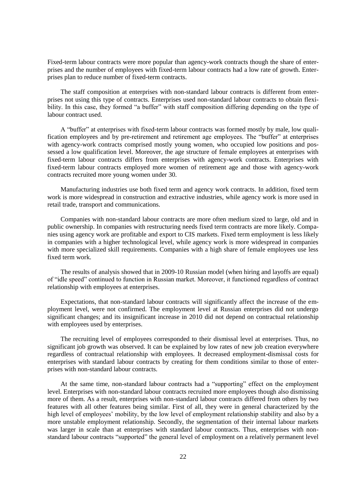Fixed-term labour contracts were more popular than agency-work contracts though the share of enterprises and the number of employees with fixed-term labour contracts had a low rate of growth. Enterprises plan to reduce number of fixed-term contracts.

The staff composition at enterprises with non-standard labour contracts is different from enterprises not using this type of contracts. Enterprises used non-standard labour contracts to obtain flexibility. In this case, they formed "a buffer" with staff composition differing depending on the type of labour contract used.

A "buffer" at enterprises with fixed-term labour contracts was formed mostly by male, low qualification employees and by pre-retirement and retirement age employees. The "buffer" at enterprises with agency-work contracts comprised mostly young women, who occupied low positions and possessed a low qualification level. Moreover, the age structure of female employees at enterprises with fixed-term labour contracts differs from enterprises with agency-work contracts. Enterprises with fixed-term labour contracts employed more women of retirement age and those with agency-work contracts recruited more young women under 30.

Manufacturing industries use both fixed term and agency work contracts. In addition, fixed term work is more widespread in construction and extractive industries, while agency work is more used in retail trade, transport and communications.

Companies with non-standard labour contracts are more often medium sized to large, old and in public ownership. In companies with restructuring needs fixed term contracts are more likely. Companies using agency work are profitable and export to CIS markets. Fixed term employment is less likely in companies with a higher technological level, while agency work is more widespread in companies with more specialized skill requirements. Companies with a high share of female employees use less fixed term work.

The results of analysis showed that in 2009-10 Russian model (when hiring and layoffs are equal) of "idle speed" continued to function in Russian market. Moreover, it functioned regardless of contract relationship with employees at enterprises.

Expectations, that non-standard labour contracts will significantly affect the increase of the employment level, were not confirmed. The employment level at Russian enterprises did not undergo significant changes; and its insignificant increase in 2010 did not depend on contractual relationship with employees used by enterprises.

The recruiting level of employees corresponded to their dismissal level at enterprises. Thus, no significant job growth was observed. It can be explained by low rates of new job creation everywhere regardless of contractual relationship with employees. It decreased employment-dismissal costs for enterprises with standard labour contracts by creating for them conditions similar to those of enterprises with non-standard labour contracts.

At the same time, non-standard labour contracts had a "supporting" effect on the employment level. Enterprises with non-standard labour contracts recruited more employees though also dismissing more of them. As a result, enterprises with non-standard labour contracts differed from others by two features with all other features being similar. First of all, they were in general characterized by the high level of employees' mobility, by the low level of employment relationship stability and also by a more unstable employment relationship. Secondly, the segmentation of their internal labour markets was larger in scale than at enterprises with standard labour contracts. Thus, enterprises with nonstandard labour contracts "supported" the general level of employment on a relatively permanent level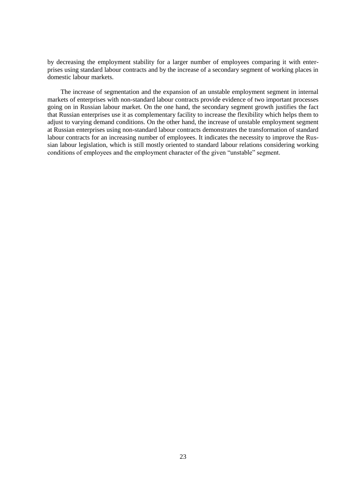by decreasing the employment stability for a larger number of employees comparing it with enterprises using standard labour contracts and by the increase of a secondary segment of working places in domestic labour markets.

<span id="page-22-0"></span>The increase of segmentation and the expansion of an unstable employment segment in internal markets of enterprises with non-standard labour contracts provide evidence of two important processes going on in Russian labour market. On the one hand, the secondary segment growth justifies the fact that Russian enterprises use it as complementary facility to increase the flexibility which helps them to adjust to varying demand conditions. On the other hand, the increase of unstable employment segment at Russian enterprises using non-standard labour contracts demonstrates the transformation of standard labour contracts for an increasing number of employees. It indicates the necessity to improve the Russian labour legislation, which is still mostly oriented to standard labour relations considering working conditions of employees and the employment character of the given "unstable" segment.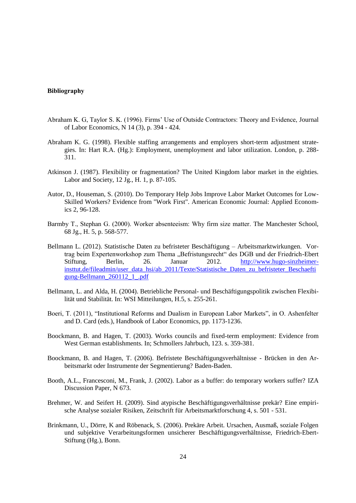### **Bibliography**

- Abraham K. G, Taylor S. K. (1996). Firms" Use of Outside Contractors: Theory and Evidence, Journal of Labor Economics, N 14 (3), p. 394 - 424.
- Abraham K. G. (1998). Flexible staffing arrangements and employers short-term adjustment strategies. In: Hart R.A. (Hg.): Employment, unemployment and labor utilization. London, p. 288- 311.
- Atkinson J. (1987). Flexibility or fragmentation? The United Kingdom labor market in the eighties. Labor and Society, 12 Jg., H. 1, p. 87-105.
- Autor, D., Houseman, S. (2010). Do Temporary Help Jobs Improve Labor Market Outcomes for Low-Skilled Workers? Evidence from "Work First". American Economic Journal: Applied Economics 2, 96-128.
- Barmby T., Stеphan G. (2000). Worker absenteeism: Why firm size matter. The Manchester School, 68 Jg., H. 5, p. 568-577.
- Bellmann L. (2012). Statistische Daten zu befristeter Beschäftigung Arbeitsmarktwirkungen. Vortrag beim Expertenworkshop zum Thema "Befristungsrecht" des DGB und der Friedrich-Ebert Stiftung, Berlin, 26. Januar 2012. [http://www.hugo-sinzheimer](http://www.hugo-sinzheimer-insttut.de/fileadmin/user_data_hsi/ab_2011/Texte/Statistische_Daten_zu_befristeter_Beschaeftigung-Bellmann_260112_1_.pdf)[insttut.de/fileadmin/user\\_data\\_hsi/ab\\_2011/Texte/Statistische\\_Daten\\_zu\\_befristeter\\_Beschaefti](http://www.hugo-sinzheimer-insttut.de/fileadmin/user_data_hsi/ab_2011/Texte/Statistische_Daten_zu_befristeter_Beschaeftigung-Bellmann_260112_1_.pdf) [gung-Bellmann\\_260112\\_1\\_.pdf](http://www.hugo-sinzheimer-insttut.de/fileadmin/user_data_hsi/ab_2011/Texte/Statistische_Daten_zu_befristeter_Beschaeftigung-Bellmann_260112_1_.pdf)
- Bellmann, L. and Alda, H. (2004). Betriebliche Personal- und Beschäftigungspolitik zwischen Flexibilität und Stabilität. In: WSI Mitteilungen, H.5, s. 255-261.
- Boeri, T. (2011), "Institutional Reforms and Dualism in European Labor Markets", in O. Ashenfelter and D. Card (eds.), Handbook of Labor Economics, pp. 1173-1236.
- Boockmann, B. and Hagen, T. (2003). Works councils and fixed-term employment: Evidence from West German establishments. In; Schmollers Jahrbuch, 123. s. 359-381.
- Boockmann, B. and Hagen, T. (2006). Befristete Beschäftigungsverhältnisse Brücken in den Arbeitsmarkt oder Instrumente der Segmentierung? Baden-Baden.
- Booth, A.L., Francesconi, M., Frank, J. (2002). Labor as a buffer: do temporary workers suffer? IZA Discussion Paper, N 673.
- Brehmer, W. and Seifert H. (2009). Sind atypische Beschäftigungsverhältnisse prekär? Eine empirische Analyse sozialer Risiken, Zeitschrift für Arbeitsmarktforschung 4, s. 501 - 531.
- Brinkmann, U., Dörre, K and Röbenack, S. (2006). Prekäre Arbeit. Ursachen, Ausmaß, soziale Folgen und subjektive Verarbeitungsformen unsicherer Beschäftigungsverhältnisse, Friedrich-Ebert-Stiftung (Hg.), Bonn.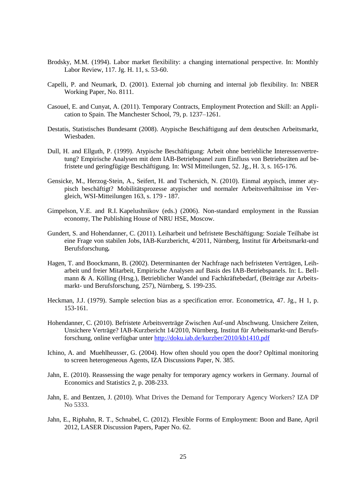- Brodsky, M.M. (1994). Labor market flexibility: a changing international perspective. In: Monthly Labor Review, 117. Jg. H. 11, s. 53-60.
- Capelli, P. and Neumark, D. (2001). External job churning and internal job flexibility. In: NBER Working Paper, No. 8111.
- Casouel, E. and Cunyat, A. (2011). Temporary Contracts, Employment Protection and Skill: an Application to Spain. The Manchester School, 79, p. 1237–1261.
- Destatis, Statistisches Bundesamt (2008). Atypische Beschäftigung auf dem deutschen Arbeitsmarkt, Wiesbaden.
- Dull, H. and Ellguth, P. (1999). Atypische Beschäftigung: Arbeit ohne betriebliche Interessenvertretung? Empirische Analysen mit dem IAB-Betriebspanel zum Einfluss von Betriebsräten auf befristete und geringfügige Beschäftigung. In: WSI Mitteilungen, 52. Jg., H. 3, s. 165-176.
- Gensicke, M., Herzog-Stein, A., Seifert, H. and Tschersich, N. (2010). Einmal atypisch, immer atypisch beschäftigt? Mobilitätsprozesse atypischer und normaler Arbeitsverhältnisse im Vergleich, WSI-Mitteilungen 163, s. 179 - 187.
- Gimpelson, V.E. and R.I. Kapelushnikov (eds.) (2006). Non-standard employment in the Russian economy, The Publishing House of NRU HSE, Moscow.
- Gundert, S. and Hohendanner, C. (2011). Leiharbeit und befristete Beschäftigung: Soziale Teilhabe ist eine Frage von stabilen Jobs, IAB-Kurzbericht, 4/2011, Nürnberg, Institut für *A*rbeitsmarkt-und Berufsforschung*.*
- Hagen, T. and Boockmann, B. (2002). Determinanten der Nachfrage nach befristeten Verträgen, Leiharbeit und freier Mitarbeit, Empirische Analysen auf Basis des IAB-Betriebspanels. In: L. Bellmann & A. Kölling (Hrsg.), Betrieblicher Wandel und Fachkräftebedarf, (Beiträge zur Arbeitsmarkt- und Berufsforschung, 257), Nürnberg, S. 199-235.
- Heckman, J.J. (1979). Sample selection bias as a specification error. Econometrica, 47. Jg., H 1, p. 153-161.
- Hohendanner, C. (2010). Befristete Arbeitsverträge Zwischen Auf-und Abschwung. Unsichere Zeiten, Unsichere Verträge? IAB-Kurzbericht 14/2010, Nürnberg, Institut für Arbeitsmarkt-und Berufsforschung, online verfügbar unter [http://doku.iab.de/kurzber/2010/kb1410.pdf](http://translate.googleusercontent.com/translate_c?hl=de&rurl=translate.google.de&sl=en&tl=de&u=http://doku.iab.de/kurzber/2010/kb1410.pdf&usg=ALkJrhi7zfo9DbSt95lJpKqyn0SvXbOcEQ)
- Ichino, A. and Muehlheusser, G. (2004). How often should you open the door? Opltimal monitoring to screen heterogeneous Agents, IZA Discussions Paper, N. 385.
- Jahn, E. (2010). Reassessing the wage penalty for temporary agency workers in Germany. Journal of Economics and Statistics 2, p. 208-233.
- Jahn, E. and Bentzen, J. (2010). What Drives the Demand for Temporary Agency Workers? IZA DP No 5333.
- Jahn, E., Riphahn, R. T., Schnabel, C. (2012). Flexible Forms of Employment: Boon and Bane, April 2012, LASER Discussion Papers, Paper No. 62.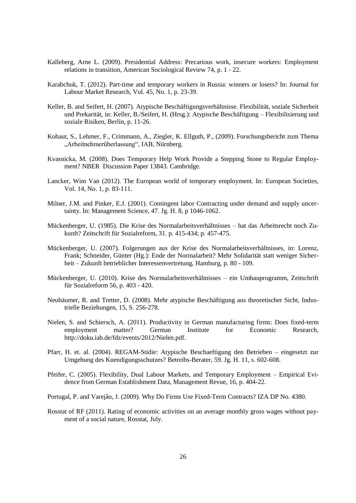- Kalleberg, Arne L. (2009). Presidential Address: Precarious work, insecure workers: Employment relations in transition, American Sociological Review 74, p. 1 - 22.
- Karabchuk, T. (2012). Part-time and temporary workers in Russia: winners or losers? In: Journal for Labour Market Research, Vol. 45, No. 1, p. 23-39.
- Keller, B. and Seifert, H. (2007). Atypische Beschäftigungsverhältnisse. Flexibilität, soziale Sicherheit und Prekarität, in: Keller, B./Seifert, H. (Hrsg.): Atypische Beschäftigung – Flexibilisierung und soziale Risiken, Berlin, p. 11-26.
- Kohaut, S., Lehmer, F., Crimmann, A., Ziegler, K. Ellguth, P., (2009). Forschungsbericht zum Thema "Arbeitnehmerüberlassung", IAB, Nürnberg.
- Kvasnicka, M. (2008). Does Temporary Help Work Provide a Stepping Stone to Regular Employment? NBER Discussion Paper 13843. Cambridge.
- Lancker, Wim Van (2012). The European world of temporary employment. In: European Societies, Vol. 14, No. 1, p. 83-111.
- Milner, J.M. and Pinker, E.J. (2001). Contingent labor Contracting under demand and supply uncertainty. In: Management Science, 47. Jg. H. 8, p 1046-1062.
- Mückenberger, U. (1985). Die Krise des Normalarbeitsverhältnisses hat das Arbeitsrecht noch Zukunft? Zeitschrift für Sozialreform, 31. p. 415-434; p. 457-475.
- Mückenberger, U. (2007). Folgerungen aus der Krise des Normalarbeitsverhältnisses, in: Lorenz, Frank; Schneider, Günter (Hg.): Ende der Normalarbeit? Mehr Solidarität statt weniger Sicherheit – Zukunft betrieblicher Interessenvertretung, Hamburg, p. 80 - 109.
- Mückenberger, U. (2010). Krise des Normalarbeitsverhältnisses ein Umbauprogramm, Zeitschrift für Sozialreform 56, p. 403 - 420.
- Neubäumer, R. and Tretter, D. (2008). Mehr atypische Beschäftigung aus theoretischer Sicht, Industrielle Beziehungen, 15, S. 256-278.
- Nielen, S. and Schiersch, A. (2011). Productivity in German manufacturing firms: Does fixed-term employment matter? German Institute for Economic Research, http://doku.iab.de/fdz/events/2012/Nielen.pdf.
- Pfarr, H. et. al. (2004). REGAM-Stidie: Atypische Beschaeftigung den Betrieben eingesetzt zur Umgehung des Kuendigungsschutzes? Betreibs-Berater, 59. Jg. H. 11, s. 602-608.
- Pfeifer, C. (2005). Flexibility, Dual Labour Markets, and Temporary Employment Empirical Evidence from German Establishment Data, Management Revue, 16, p. 404-22.
- Portugal, P. and Varejão, J. (2009). Why Do Firms Use Fixed-Term Contracts? IZA DP No. 4380.
- Rosstat of RF (2011). Rating of economic activities on an average monthly gross wages without payment of a social nature, Rosstat, July.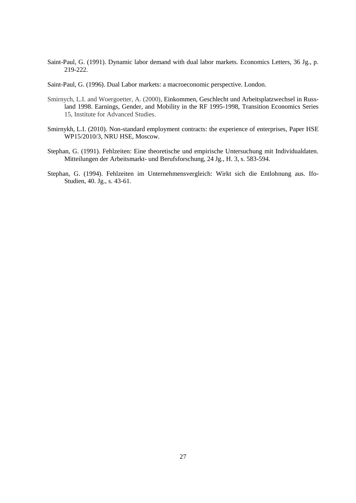Saint-Paul, G. (1991). Dynamic labor demand with dual labor markets. Economics Letters, 36 Jg., p. 219-222.

Saint-Paul, G. (1996). Dual Labor markets: a macroeconomic perspective. London.

- Smirnych, L.I. and Woergoetter, A. (2000), [Einkommen, Geschlecht und Arbeitsplatzwechsel in Russ](http://ideas.repec.org/p/ihs/ihstep/15.html)[land 1998. Earnings, Gender, and Mobility in the RF 1995-1998,](http://ideas.repec.org/p/ihs/ihstep/15.html) [Transition Economics Series](http://ideas.repec.org/s/ihs/ihstep.html) 15, Institute for Advanced Studies.
- Smirnykh, L.I. (2010). Non-standard employment contracts: the experience of enterprises, Paper HSE WP15/2010/3, NRU HSE, Moscow.
- Stephan, G. (1991). Fehlzeiten: Eine theoretische und empirische Untersuchung mit Individualdaten. Mitteilungen der Arbeitsmarkt- und Berufsforschung, 24 Jg., H. 3, s. 583-594.
- Stephan, G. (1994). Fehlzeiten im Unternehmensvergleich: Wirkt sich die Entlohnung aus. Ifo-Studien, 40. Jg., s. 43-61.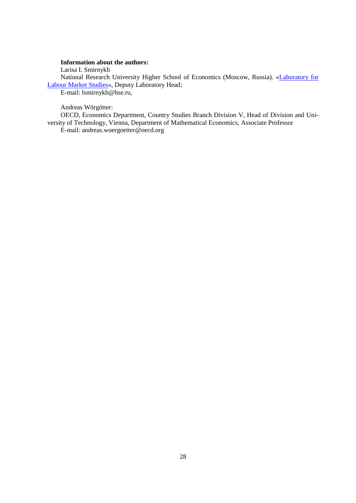## **Information about the authors:**

Larisa I. Smirnykh

National Research University Higher School of Economics (Moscow, Russia). [«Laboratory for](http://lirt.hse.ru/en/)  [Labour Market Studies»](http://lirt.hse.ru/en/), Deputy Laboratory Head;

E-mail: lsmirnykh@hse.ru,

## Andreas Wörgötter:

OECD, Economics Department, Country Studies Branch Division V, Head of Division and University of Technology, Vienna, Department of Mathematical Economics, Associate Professor E-mail: andreas.woergoetter@oecd.org